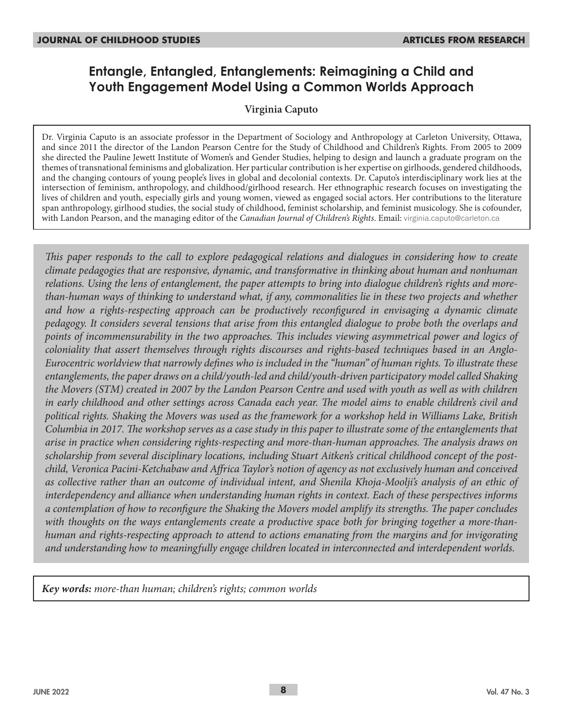# **Entangle, Entangled, Entanglements: Reimagining a Child and Youth Engagement Model Using a Common Worlds Approach**

### **Virginia Caputo**

Dr. Virginia Caputo is an associate professor in the Department of Sociology and Anthropology at Carleton University, Ottawa, and since 2011 the director of the Landon Pearson Centre for the Study of Childhood and Children's Rights. From 2005 to 2009 she directed the Pauline Jewett Institute of Women's and Gender Studies, helping to design and launch a graduate program on the themes of transnational feminisms and globalization. Her particular contribution is her expertise on girlhoods, gendered childhoods, and the changing contours of young people's lives in global and decolonial contexts. Dr. Caputo's interdisciplinary work lies at the intersection of feminism, anthropology, and childhood/girlhood research. Her ethnographic research focuses on investigating the lives of children and youth, especially girls and young women, viewed as engaged social actors. Her contributions to the literature span anthropology, girlhood studies, the social study of childhood, feminist scholarship, and feminist musicology. She is cofounder, with Landon Pearson, and the managing editor of the *Canadian Journal of Children's Rights*. Email: virginia.caputo@carleton.ca

*This paper responds to the call to explore pedagogical relations and dialogues in considering how to create climate pedagogies that are responsive, dynamic, and transformative in thinking about human and nonhuman relations. Using the lens of entanglement, the paper attempts to bring into dialogue children's rights and morethan-human ways of thinking to understand what, if any, commonalities lie in these two projects and whether and how a rights-respecting approach can be productively reconfigured in envisaging a dynamic climate pedagogy. It considers several tensions that arise from this entangled dialogue to probe both the overlaps and points of incommensurability in the two approaches. This includes viewing asymmetrical power and logics of coloniality that assert themselves through rights discourses and rights-based techniques based in an Anglo-Eurocentric worldview that narrowly defines who is included in the "human" of human rights. To illustrate these entanglements, the paper draws on a child/youth-led and child/youth-driven participatory model called Shaking the Movers (STM) created in 2007 by the Landon Pearson Centre and used with youth as well as with children in early childhood and other settings across Canada each year. The model aims to enable children's civil and political rights. Shaking the Movers was used as the framework for a workshop held in Williams Lake, British Columbia in 2017. The workshop serves as a case study in this paper to illustrate some of the entanglements that arise in practice when considering rights-respecting and more-than-human approaches. The analysis draws on scholarship from several disciplinary locations, including Stuart Aitken's critical childhood concept of the postchild, Veronica Pacini-Ketchabaw and Affrica Taylor's notion of agency as not exclusively human and conceived as collective rather than an outcome of individual intent, and Shenila Khoja-Moolji's analysis of an ethic of interdependency and alliance when understanding human rights in context. Each of these perspectives informs a contemplation of how to reconfigure the Shaking the Movers model amplify its strengths. The paper concludes with thoughts on the ways entanglements create a productive space both for bringing together a more-thanhuman and rights-respecting approach to attend to actions emanating from the margins and for invigorating and understanding how to meaningfully engage children located in interconnected and interdependent worlds.*

*Key words: more-than human; children's rights; common worlds*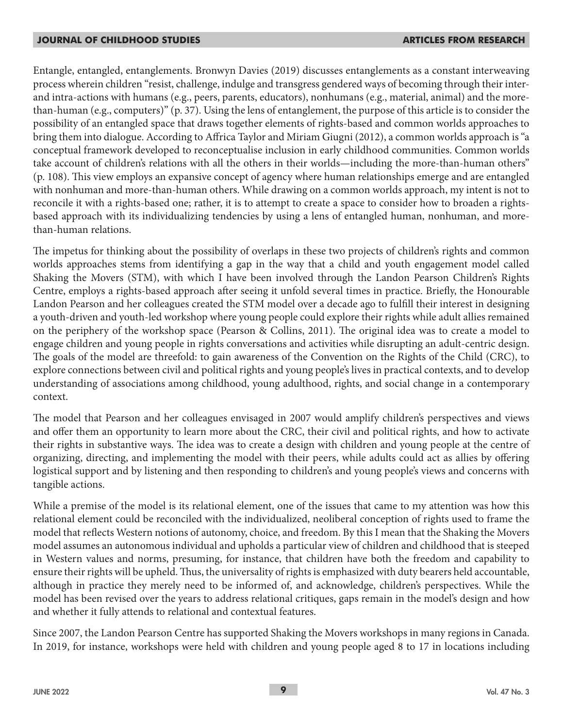Entangle, entangled, entanglements. Bronwyn Davies (2019) discusses entanglements as a constant interweaving process wherein children "resist, challenge, indulge and transgress gendered ways of becoming through their interand intra-actions with humans (e.g., peers, parents, educators), nonhumans (e.g., material, animal) and the morethan-human (e.g., computers)" (p. 37). Using the lens of entanglement, the purpose of this article is to consider the possibility of an entangled space that draws together elements of rights-based and common worlds approaches to bring them into dialogue. According to Affrica Taylor and Miriam Giugni (2012), a common worlds approach is "a conceptual framework developed to reconceptualise inclusion in early childhood communities. Common worlds take account of children's relations with all the others in their worlds—including the more-than-human others" (p. 108). This view employs an expansive concept of agency where human relationships emerge and are entangled with nonhuman and more-than-human others. While drawing on a common worlds approach, my intent is not to reconcile it with a rights-based one; rather, it is to attempt to create a space to consider how to broaden a rightsbased approach with its individualizing tendencies by using a lens of entangled human, nonhuman, and morethan-human relations.

The impetus for thinking about the possibility of overlaps in these two projects of children's rights and common worlds approaches stems from identifying a gap in the way that a child and youth engagement model called Shaking the Movers (STM), with which I have been involved through the Landon Pearson Children's Rights Centre, employs a rights-based approach after seeing it unfold several times in practice. Briefly, the Honourable Landon Pearson and her colleagues created the STM model over a decade ago to fulfill their interest in designing a youth-driven and youth-led workshop where young people could explore their rights while adult allies remained on the periphery of the workshop space (Pearson & Collins, 2011). The original idea was to create a model to engage children and young people in rights conversations and activities while disrupting an adult-centric design. The goals of the model are threefold: to gain awareness of the Convention on the Rights of the Child (CRC), to explore connections between civil and political rights and young people's lives in practical contexts, and to develop understanding of associations among childhood, young adulthood, rights, and social change in a contemporary context.

The model that Pearson and her colleagues envisaged in 2007 would amplify children's perspectives and views and offer them an opportunity to learn more about the CRC, their civil and political rights, and how to activate their rights in substantive ways. The idea was to create a design with children and young people at the centre of organizing, directing, and implementing the model with their peers, while adults could act as allies by offering logistical support and by listening and then responding to children's and young people's views and concerns with tangible actions.

While a premise of the model is its relational element, one of the issues that came to my attention was how this relational element could be reconciled with the individualized, neoliberal conception of rights used to frame the model that reflects Western notions of autonomy, choice, and freedom. By this I mean that the Shaking the Movers model assumes an autonomous individual and upholds a particular view of children and childhood that is steeped in Western values and norms, presuming, for instance, that children have both the freedom and capability to ensure their rights will be upheld. Thus, the universality of rights is emphasized with duty bearers held accountable, although in practice they merely need to be informed of, and acknowledge, children's perspectives. While the model has been revised over the years to address relational critiques, gaps remain in the model's design and how and whether it fully attends to relational and contextual features.

Since 2007, the Landon Pearson Centre has supported Shaking the Movers workshops in many regions in Canada. In 2019, for instance, workshops were held with children and young people aged 8 to 17 in locations including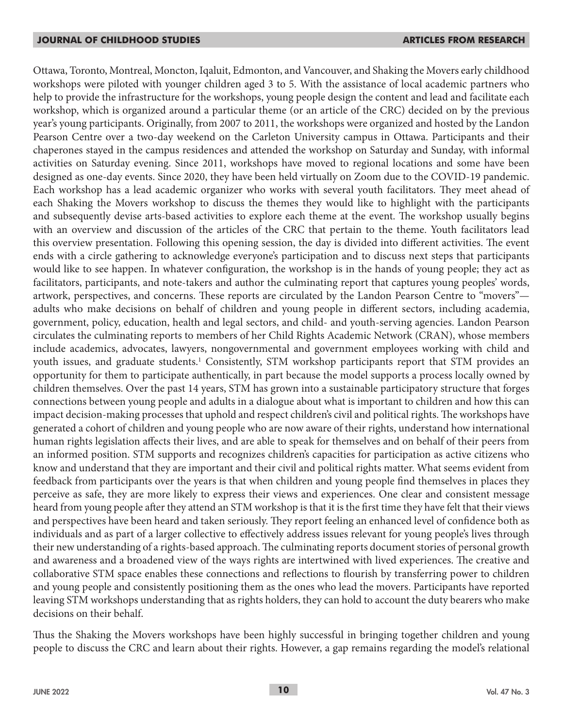Ottawa, Toronto, Montreal, Moncton, Iqaluit, Edmonton, and Vancouver, and Shaking the Movers early childhood workshops were piloted with younger children aged 3 to 5. With the assistance of local academic partners who help to provide the infrastructure for the workshops, young people design the content and lead and facilitate each workshop, which is organized around a particular theme (or an article of the CRC) decided on by the previous year's young participants. Originally, from 2007 to 2011, the workshops were organized and hosted by the Landon Pearson Centre over a two-day weekend on the Carleton University campus in Ottawa. Participants and their chaperones stayed in the campus residences and attended the workshop on Saturday and Sunday, with informal activities on Saturday evening. Since 2011, workshops have moved to regional locations and some have been designed as one-day events. Since 2020, they have been held virtually on Zoom due to the COVID-19 pandemic. Each workshop has a lead academic organizer who works with several youth facilitators. They meet ahead of each Shaking the Movers workshop to discuss the themes they would like to highlight with the participants and subsequently devise arts-based activities to explore each theme at the event. The workshop usually begins with an overview and discussion of the articles of the CRC that pertain to the theme. Youth facilitators lead this overview presentation. Following this opening session, the day is divided into different activities. The event ends with a circle gathering to acknowledge everyone's participation and to discuss next steps that participants would like to see happen. In whatever configuration, the workshop is in the hands of young people; they act as facilitators, participants, and note-takers and author the culminating report that captures young peoples' words, artwork, perspectives, and concerns. These reports are circulated by the Landon Pearson Centre to "movers" adults who make decisions on behalf of children and young people in different sectors, including academia, government, policy, education, health and legal sectors, and child- and youth-serving agencies. Landon Pearson circulates the culminating reports to members of her Child Rights Academic Network (CRAN), whose members include academics, advocates, lawyers, nongovernmental and government employees working with child and youth issues, and graduate students.<sup>1</sup> Consistently, STM workshop participants report that STM provides an opportunity for them to participate authentically, in part because the model supports a process locally owned by children themselves. Over the past 14 years, STM has grown into a sustainable participatory structure that forges connections between young people and adults in a dialogue about what is important to children and how this can impact decision-making processes that uphold and respect children's civil and political rights. The workshops have generated a cohort of children and young people who are now aware of their rights, understand how international human rights legislation affects their lives, and are able to speak for themselves and on behalf of their peers from an informed position. STM supports and recognizes children's capacities for participation as active citizens who know and understand that they are important and their civil and political rights matter. What seems evident from feedback from participants over the years is that when children and young people find themselves in places they perceive as safe, they are more likely to express their views and experiences. One clear and consistent message heard from young people after they attend an STM workshop is that it is the first time they have felt that their views and perspectives have been heard and taken seriously. They report feeling an enhanced level of confidence both as individuals and as part of a larger collective to effectively address issues relevant for young people's lives through their new understanding of a rights-based approach. The culminating reports document stories of personal growth and awareness and a broadened view of the ways rights are intertwined with lived experiences. The creative and collaborative STM space enables these connections and reflections to flourish by transferring power to children and young people and consistently positioning them as the ones who lead the movers. Participants have reported leaving STM workshops understanding that as rights holders, they can hold to account the duty bearers who make decisions on their behalf.

Thus the Shaking the Movers workshops have been highly successful in bringing together children and young people to discuss the CRC and learn about their rights. However, a gap remains regarding the model's relational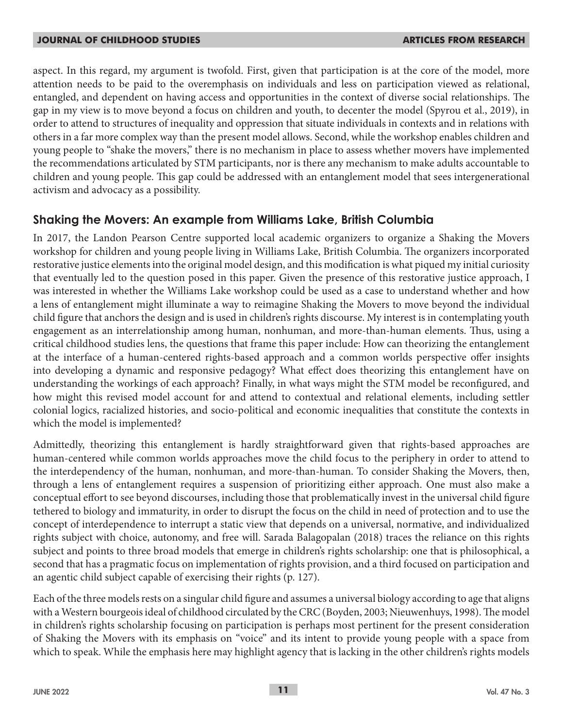aspect. In this regard, my argument is twofold. First, given that participation is at the core of the model, more attention needs to be paid to the overemphasis on individuals and less on participation viewed as relational, entangled, and dependent on having access and opportunities in the context of diverse social relationships. The gap in my view is to move beyond a focus on children and youth, to decenter the model (Spyrou et al., 2019), in order to attend to structures of inequality and oppression that situate individuals in contexts and in relations with others in a far more complex way than the present model allows. Second, while the workshop enables children and young people to "shake the movers," there is no mechanism in place to assess whether movers have implemented the recommendations articulated by STM participants, nor is there any mechanism to make adults accountable to children and young people. This gap could be addressed with an entanglement model that sees intergenerational activism and advocacy as a possibility.

## **Shaking the Movers: An example from Williams Lake, British Columbia**

In 2017, the Landon Pearson Centre supported local academic organizers to organize a Shaking the Movers workshop for children and young people living in Williams Lake, British Columbia. The organizers incorporated restorative justice elements into the original model design, and this modification is what piqued my initial curiosity that eventually led to the question posed in this paper. Given the presence of this restorative justice approach, I was interested in whether the Williams Lake workshop could be used as a case to understand whether and how a lens of entanglement might illuminate a way to reimagine Shaking the Movers to move beyond the individual child figure that anchors the design and is used in children's rights discourse. My interest is in contemplating youth engagement as an interrelationship among human, nonhuman, and more-than-human elements. Thus, using a critical childhood studies lens, the questions that frame this paper include: How can theorizing the entanglement at the interface of a human-centered rights-based approach and a common worlds perspective offer insights into developing a dynamic and responsive pedagogy? What effect does theorizing this entanglement have on understanding the workings of each approach? Finally, in what ways might the STM model be reconfigured, and how might this revised model account for and attend to contextual and relational elements, including settler colonial logics, racialized histories, and socio-political and economic inequalities that constitute the contexts in which the model is implemented?

Admittedly, theorizing this entanglement is hardly straightforward given that rights-based approaches are human-centered while common worlds approaches move the child focus to the periphery in order to attend to the interdependency of the human, nonhuman, and more-than-human. To consider Shaking the Movers, then, through a lens of entanglement requires a suspension of prioritizing either approach. One must also make a conceptual effort to see beyond discourses, including those that problematically invest in the universal child figure tethered to biology and immaturity, in order to disrupt the focus on the child in need of protection and to use the concept of interdependence to interrupt a static view that depends on a universal, normative, and individualized rights subject with choice, autonomy, and free will. Sarada Balagopalan (2018) traces the reliance on this rights subject and points to three broad models that emerge in children's rights scholarship: one that is philosophical, a second that has a pragmatic focus on implementation of rights provision, and a third focused on participation and an agentic child subject capable of exercising their rights (p. 127).

Each of the three models rests on a singular child figure and assumes a universal biology according to age that aligns with a Western bourgeois ideal of childhood circulated by the CRC (Boyden, 2003; Nieuwenhuys, 1998). The model in children's rights scholarship focusing on participation is perhaps most pertinent for the present consideration of Shaking the Movers with its emphasis on "voice" and its intent to provide young people with a space from which to speak. While the emphasis here may highlight agency that is lacking in the other children's rights models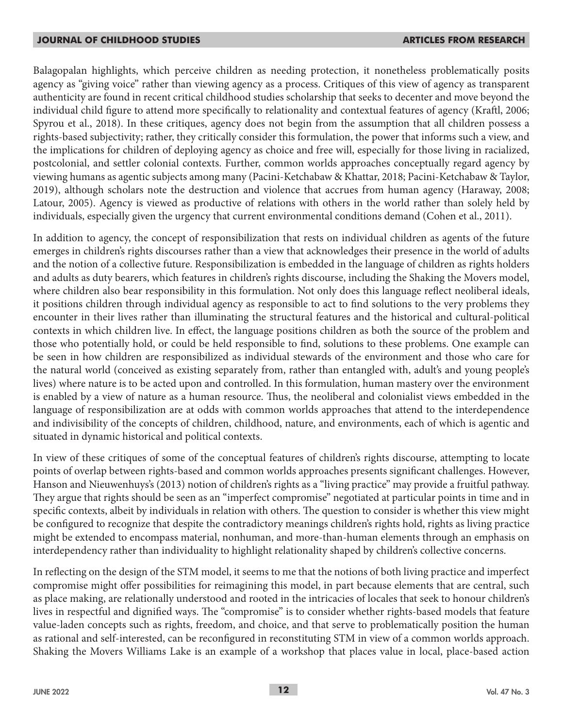Balagopalan highlights, which perceive children as needing protection, it nonetheless problematically posits agency as "giving voice" rather than viewing agency as a process. Critiques of this view of agency as transparent authenticity are found in recent critical childhood studies scholarship that seeks to decenter and move beyond the individual child figure to attend more specifically to relationality and contextual features of agency (Kraftl, 2006; Spyrou et al., 2018). In these critiques, agency does not begin from the assumption that all children possess a rights-based subjectivity; rather, they critically consider this formulation, the power that informs such a view, and the implications for children of deploying agency as choice and free will, especially for those living in racialized, postcolonial, and settler colonial contexts. Further, common worlds approaches conceptually regard agency by viewing humans as agentic subjects among many (Pacini-Ketchabaw & Khattar, 2018; Pacini-Ketchabaw & Taylor, 2019), although scholars note the destruction and violence that accrues from human agency (Haraway, 2008; Latour, 2005). Agency is viewed as productive of relations with others in the world rather than solely held by individuals, especially given the urgency that current environmental conditions demand (Cohen et al., 2011).

In addition to agency, the concept of responsibilization that rests on individual children as agents of the future emerges in children's rights discourses rather than a view that acknowledges their presence in the world of adults and the notion of a collective future. Responsibilization is embedded in the language of children as rights holders and adults as duty bearers, which features in children's rights discourse, including the Shaking the Movers model, where children also bear responsibility in this formulation. Not only does this language reflect neoliberal ideals, it positions children through individual agency as responsible to act to find solutions to the very problems they encounter in their lives rather than illuminating the structural features and the historical and cultural-political contexts in which children live. In effect, the language positions children as both the source of the problem and those who potentially hold, or could be held responsible to find, solutions to these problems. One example can be seen in how children are responsibilized as individual stewards of the environment and those who care for the natural world (conceived as existing separately from, rather than entangled with, adult's and young people's lives) where nature is to be acted upon and controlled. In this formulation, human mastery over the environment is enabled by a view of nature as a human resource. Thus, the neoliberal and colonialist views embedded in the language of responsibilization are at odds with common worlds approaches that attend to the interdependence and indivisibility of the concepts of children, childhood, nature, and environments, each of which is agentic and situated in dynamic historical and political contexts.

In view of these critiques of some of the conceptual features of children's rights discourse, attempting to locate points of overlap between rights-based and common worlds approaches presents significant challenges. However, Hanson and Nieuwenhuys's (2013) notion of children's rights as a "living practice" may provide a fruitful pathway. They argue that rights should be seen as an "imperfect compromise" negotiated at particular points in time and in specific contexts, albeit by individuals in relation with others. The question to consider is whether this view might be configured to recognize that despite the contradictory meanings children's rights hold, rights as living practice might be extended to encompass material, nonhuman, and more-than-human elements through an emphasis on interdependency rather than individuality to highlight relationality shaped by children's collective concerns.

In reflecting on the design of the STM model, it seems to me that the notions of both living practice and imperfect compromise might offer possibilities for reimagining this model, in part because elements that are central, such as place making, are relationally understood and rooted in the intricacies of locales that seek to honour children's lives in respectful and dignified ways. The "compromise" is to consider whether rights-based models that feature value-laden concepts such as rights, freedom, and choice, and that serve to problematically position the human as rational and self-interested, can be reconfigured in reconstituting STM in view of a common worlds approach. Shaking the Movers Williams Lake is an example of a workshop that places value in local, place-based action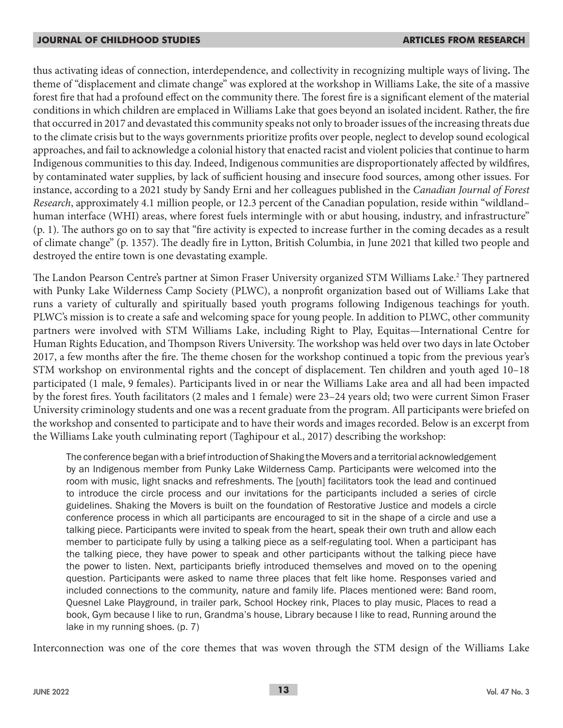thus activating ideas of connection, interdependence, and collectivity in recognizing multiple ways of living**.** The theme of "displacement and climate change" was explored at the workshop in Williams Lake, the site of a massive forest fire that had a profound effect on the community there. The forest fire is a significant element of the material conditions in which children are emplaced in Williams Lake that goes beyond an isolated incident. Rather, the fire that occurred in 2017 and devastated this community speaks not only to broader issues of the increasing threats due to the climate crisis but to the ways governments prioritize profits over people, neglect to develop sound ecological approaches, and fail to acknowledge a colonial history that enacted racist and violent policies that continue to harm Indigenous communities to this day. Indeed, Indigenous communities are disproportionately affected by wildfires, by contaminated water supplies, by lack of sufficient housing and insecure food sources, among other issues. For instance, according to a 2021 study by Sandy Erni and her colleagues published in the *Canadian Journal of Forest Research*, approximately 4.1 million people, or 12.3 percent of the Canadian population, reside within "wildland– human interface (WHI) areas, where forest fuels intermingle with or abut housing, industry, and infrastructure" (p. 1). The authors go on to say that "fire activity is expected to increase further in the coming decades as a result of climate change" (p. 1357). The deadly fire in Lytton, British Columbia, in June 2021 that killed two people and destroyed the entire town is one devastating example.

The Landon Pearson Centre's partner at Simon Fraser University organized STM Williams Lake.<sup>2</sup> They partnered with Punky Lake Wilderness Camp Society (PLWC), a nonprofit organization based out of Williams Lake that runs a variety of culturally and spiritually based youth programs following Indigenous teachings for youth. PLWC's mission is to create a safe and welcoming space for young people. In addition to PLWC, other community partners were involved with STM Williams Lake, including Right to Play, Equitas—International Centre for Human Rights Education, and Thompson Rivers University. The workshop was held over two days in late October 2017, a few months after the fire. The theme chosen for the workshop continued a topic from the previous year's STM workshop on environmental rights and the concept of displacement. Ten children and youth aged 10–18 participated (1 male, 9 females). Participants lived in or near the Williams Lake area and all had been impacted by the forest fires. Youth facilitators (2 males and 1 female) were 23–24 years old; two were current Simon Fraser University criminology students and one was a recent graduate from the program. All participants were briefed on the workshop and consented to participate and to have their words and images recorded. Below is an excerpt from the Williams Lake youth culminating report (Taghipour et al., 2017) describing the workshop:

The conference began with a brief introduction of Shaking the Movers and a territorial acknowledgement by an Indigenous member from Punky Lake Wilderness Camp. Participants were welcomed into the room with music, light snacks and refreshments. The [youth] facilitators took the lead and continued to introduce the circle process and our invitations for the participants included a series of circle guidelines. Shaking the Movers is built on the foundation of Restorative Justice and models a circle conference process in which all participants are encouraged to sit in the shape of a circle and use a talking piece. Participants were invited to speak from the heart, speak their own truth and allow each member to participate fully by using a talking piece as a self-regulating tool. When a participant has the talking piece, they have power to speak and other participants without the talking piece have the power to listen. Next, participants briefly introduced themselves and moved on to the opening question. Participants were asked to name three places that felt like home. Responses varied and included connections to the community, nature and family life. Places mentioned were: Band room, Quesnel Lake Playground, in trailer park, School Hockey rink, Places to play music, Places to read a book, Gym because I like to run, Grandma's house, Library because I like to read, Running around the lake in my running shoes. (p. 7)

Interconnection was one of the core themes that was woven through the STM design of the Williams Lake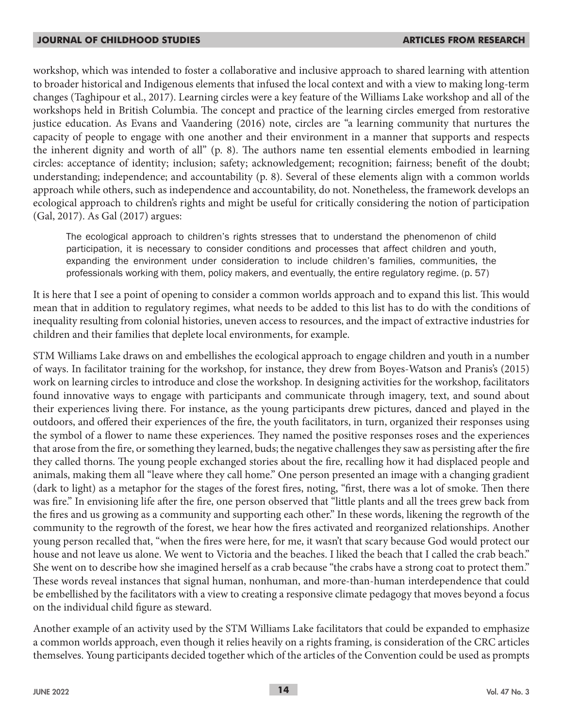workshop, which was intended to foster a collaborative and inclusive approach to shared learning with attention to broader historical and Indigenous elements that infused the local context and with a view to making long-term changes (Taghipour et al., 2017). Learning circles were a key feature of the Williams Lake workshop and all of the workshops held in British Columbia. The concept and practice of the learning circles emerged from restorative justice education. As Evans and Vaandering (2016) note, circles are "a learning community that nurtures the capacity of people to engage with one another and their environment in a manner that supports and respects the inherent dignity and worth of all" (p. 8). The authors name ten essential elements embodied in learning circles: acceptance of identity; inclusion; safety; acknowledgement; recognition; fairness; benefit of the doubt; understanding; independence; and accountability (p. 8). Several of these elements align with a common worlds approach while others, such as independence and accountability, do not. Nonetheless, the framework develops an ecological approach to children's rights and might be useful for critically considering the notion of participation (Gal, 2017). As Gal (2017) argues:

The ecological approach to children's rights stresses that to understand the phenomenon of child participation, it is necessary to consider conditions and processes that affect children and youth, expanding the environment under consideration to include children's families, communities, the professionals working with them, policy makers, and eventually, the entire regulatory regime. (p. 57)

It is here that I see a point of opening to consider a common worlds approach and to expand this list. This would mean that in addition to regulatory regimes, what needs to be added to this list has to do with the conditions of inequality resulting from colonial histories, uneven access to resources, and the impact of extractive industries for children and their families that deplete local environments, for example.

STM Williams Lake draws on and embellishes the ecological approach to engage children and youth in a number of ways. In facilitator training for the workshop, for instance, they drew from Boyes-Watson and Pranis's (2015) work on learning circles to introduce and close the workshop. In designing activities for the workshop, facilitators found innovative ways to engage with participants and communicate through imagery, text, and sound about their experiences living there. For instance, as the young participants drew pictures, danced and played in the outdoors, and offered their experiences of the fire, the youth facilitators, in turn, organized their responses using the symbol of a flower to name these experiences. They named the positive responses roses and the experiences that arose from the fire, or something they learned, buds; the negative challenges they saw as persisting after the fire they called thorns. The young people exchanged stories about the fire, recalling how it had displaced people and animals, making them all "leave where they call home." One person presented an image with a changing gradient (dark to light) as a metaphor for the stages of the forest fires, noting, "first, there was a lot of smoke. Then there was fire." In envisioning life after the fire, one person observed that "little plants and all the trees grew back from the fires and us growing as a community and supporting each other." In these words, likening the regrowth of the community to the regrowth of the forest, we hear how the fires activated and reorganized relationships. Another young person recalled that, "when the fires were here, for me, it wasn't that scary because God would protect our house and not leave us alone. We went to Victoria and the beaches. I liked the beach that I called the crab beach." She went on to describe how she imagined herself as a crab because "the crabs have a strong coat to protect them." These words reveal instances that signal human, nonhuman, and more-than-human interdependence that could be embellished by the facilitators with a view to creating a responsive climate pedagogy that moves beyond a focus on the individual child figure as steward.

Another example of an activity used by the STM Williams Lake facilitators that could be expanded to emphasize a common worlds approach, even though it relies heavily on a rights framing, is consideration of the CRC articles themselves. Young participants decided together which of the articles of the Convention could be used as prompts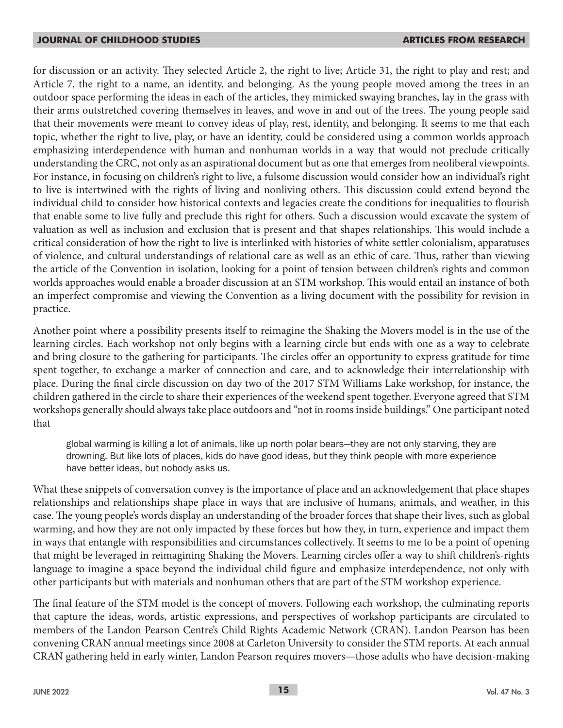for discussion or an activity. They selected Article 2, the right to live; Article 31, the right to play and rest; and Article 7, the right to a name, an identity, and belonging. As the young people moved among the trees in an outdoor space performing the ideas in each of the articles, they mimicked swaying branches, lay in the grass with their arms outstretched covering themselves in leaves, and wove in and out of the trees. The young people said that their movements were meant to convey ideas of play, rest, identity, and belonging. It seems to me that each topic, whether the right to live, play, or have an identity, could be considered using a common worlds approach emphasizing interdependence with human and nonhuman worlds in a way that would not preclude critically understanding the CRC, not only as an aspirational document but as one that emerges from neoliberal viewpoints. For instance, in focusing on children's right to live, a fulsome discussion would consider how an individual's right to live is intertwined with the rights of living and nonliving others. This discussion could extend beyond the individual child to consider how historical contexts and legacies create the conditions for inequalities to flourish that enable some to live fully and preclude this right for others. Such a discussion would excavate the system of valuation as well as inclusion and exclusion that is present and that shapes relationships. This would include a critical consideration of how the right to live is interlinked with histories of white settler colonialism, apparatuses of violence, and cultural understandings of relational care as well as an ethic of care. Thus, rather than viewing the article of the Convention in isolation, looking for a point of tension between children's rights and common worlds approaches would enable a broader discussion at an STM workshop. This would entail an instance of both an imperfect compromise and viewing the Convention as a living document with the possibility for revision in practice.

Another point where a possibility presents itself to reimagine the Shaking the Movers model is in the use of the learning circles. Each workshop not only begins with a learning circle but ends with one as a way to celebrate and bring closure to the gathering for participants. The circles offer an opportunity to express gratitude for time spent together, to exchange a marker of connection and care, and to acknowledge their interrelationship with place. During the final circle discussion on day two of the 2017 STM Williams Lake workshop, for instance, the children gathered in the circle to share their experiences of the weekend spent together. Everyone agreed that STM workshops generally should always take place outdoors and "not in rooms inside buildings." One participant noted that

global warming is killing a lot of animals, like up north polar bears—they are not only starving, they are drowning. But like lots of places, kids do have good ideas, but they think people with more experience have better ideas, but nobody asks us.

What these snippets of conversation convey is the importance of place and an acknowledgement that place shapes relationships and relationships shape place in ways that are inclusive of humans, animals, and weather, in this case. The young people's words display an understanding of the broader forces that shape their lives, such as global warming, and how they are not only impacted by these forces but how they, in turn, experience and impact them in ways that entangle with responsibilities and circumstances collectively. It seems to me to be a point of opening that might be leveraged in reimagining Shaking the Movers. Learning circles offer a way to shift children's-rights language to imagine a space beyond the individual child figure and emphasize interdependence, not only with other participants but with materials and nonhuman others that are part of the STM workshop experience.

The final feature of the STM model is the concept of movers. Following each workshop, the culminating reports that capture the ideas, words, artistic expressions, and perspectives of workshop participants are circulated to members of the Landon Pearson Centre's Child Rights Academic Network (CRAN). Landon Pearson has been convening CRAN annual meetings since 2008 at Carleton University to consider the STM reports. At each annual CRAN gathering held in early winter, Landon Pearson requires movers—those adults who have decision-making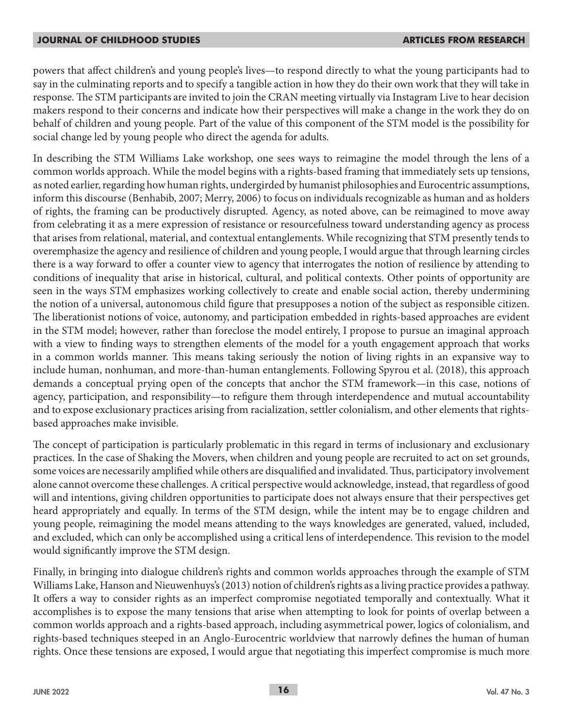powers that affect children's and young people's lives—to respond directly to what the young participants had to say in the culminating reports and to specify a tangible action in how they do their own work that they will take in response. The STM participants are invited to join the CRAN meeting virtually via Instagram Live to hear decision makers respond to their concerns and indicate how their perspectives will make a change in the work they do on behalf of children and young people. Part of the value of this component of the STM model is the possibility for social change led by young people who direct the agenda for adults.

In describing the STM Williams Lake workshop, one sees ways to reimagine the model through the lens of a common worlds approach. While the model begins with a rights-based framing that immediately sets up tensions, as noted earlier, regarding how human rights, undergirded by humanist philosophies and Eurocentric assumptions, inform this discourse (Benhabib, 2007; Merry, 2006) to focus on individuals recognizable as human and as holders of rights, the framing can be productively disrupted. Agency, as noted above, can be reimagined to move away from celebrating it as a mere expression of resistance or resourcefulness toward understanding agency as process that arises from relational, material, and contextual entanglements. While recognizing that STM presently tends to overemphasize the agency and resilience of children and young people, I would argue that through learning circles there is a way forward to offer a counter view to agency that interrogates the notion of resilience by attending to conditions of inequality that arise in historical, cultural, and political contexts. Other points of opportunity are seen in the ways STM emphasizes working collectively to create and enable social action, thereby undermining the notion of a universal, autonomous child figure that presupposes a notion of the subject as responsible citizen. The liberationist notions of voice, autonomy, and participation embedded in rights-based approaches are evident in the STM model; however, rather than foreclose the model entirely, I propose to pursue an imaginal approach with a view to finding ways to strengthen elements of the model for a youth engagement approach that works in a common worlds manner. This means taking seriously the notion of living rights in an expansive way to include human, nonhuman, and more-than-human entanglements. Following Spyrou et al. (2018), this approach demands a conceptual prying open of the concepts that anchor the STM framework—in this case, notions of agency, participation, and responsibility—to refigure them through interdependence and mutual accountability and to expose exclusionary practices arising from racialization, settler colonialism, and other elements that rightsbased approaches make invisible.

The concept of participation is particularly problematic in this regard in terms of inclusionary and exclusionary practices. In the case of Shaking the Movers, when children and young people are recruited to act on set grounds, some voices are necessarily amplified while others are disqualified and invalidated. Thus, participatory involvement alone cannot overcome these challenges. A critical perspective would acknowledge, instead, that regardless of good will and intentions, giving children opportunities to participate does not always ensure that their perspectives get heard appropriately and equally. In terms of the STM design, while the intent may be to engage children and young people, reimagining the model means attending to the ways knowledges are generated, valued, included, and excluded, which can only be accomplished using a critical lens of interdependence. This revision to the model would significantly improve the STM design.

Finally, in bringing into dialogue children's rights and common worlds approaches through the example of STM Williams Lake, Hanson and Nieuwenhuys's (2013) notion of children's rights as a living practice provides a pathway. It offers a way to consider rights as an imperfect compromise negotiated temporally and contextually. What it accomplishes is to expose the many tensions that arise when attempting to look for points of overlap between a common worlds approach and a rights-based approach, including asymmetrical power, logics of colonialism, and rights-based techniques steeped in an Anglo-Eurocentric worldview that narrowly defines the human of human rights. Once these tensions are exposed, I would argue that negotiating this imperfect compromise is much more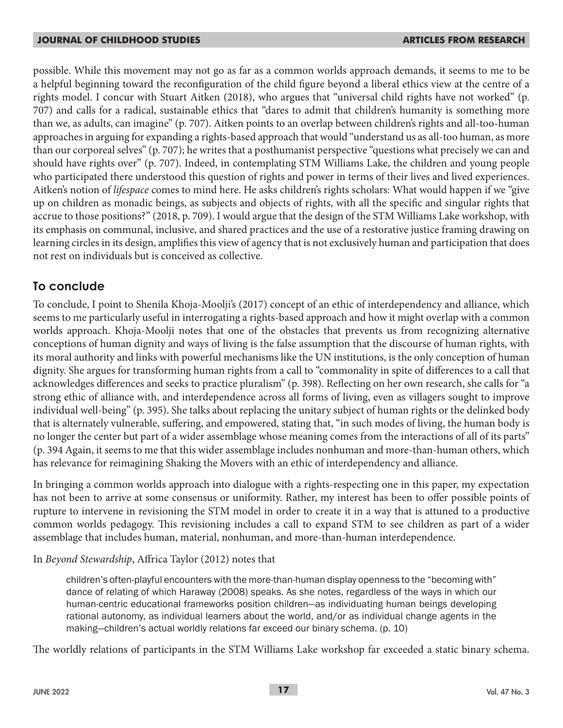possible. While this movement may not go as far as a common worlds approach demands, it seems to me to be a helpful beginning toward the reconfiguration of the child figure beyond a liberal ethics view at the centre of a rights model. I concur with Stuart Aitken (2018), who argues that "universal child rights have not worked" (p. 707) and calls for a radical, sustainable ethics that "dares to admit that children's humanity is something more than we, as adults, can imagine" (p. 707). Aitken points to an overlap between children's rights and all-too-human approaches in arguing for expanding a rights-based approach that would "understand us as all-too human, as more than our corporeal selves" (p. 707); he writes that a posthumanist perspective "questions what precisely we can and should have rights over" (p. 707). Indeed, in contemplating STM Williams Lake, the children and young people who participated there understood this question of rights and power in terms of their lives and lived experiences. Aitken's notion of *lifespace* comes to mind here. He asks children's rights scholars: What would happen if we "give up on children as monadic beings, as subjects and objects of rights, with all the specific and singular rights that accrue to those positions?" (2018, p. 709). I would argue that the design of the STM Williams Lake workshop, with its emphasis on communal, inclusive, and shared practices and the use of a restorative justice framing drawing on learning circles in its design, amplifies this view of agency that is not exclusively human and participation that does not rest on individuals but is conceived as collective.

## **To conclude**

To conclude, I point to Shenila Khoja-Moolji's (2017) concept of an ethic of interdependency and alliance, which seems to me particularly useful in interrogating a rights-based approach and how it might overlap with a common worlds approach. Khoja-Moolji notes that one of the obstacles that prevents us from recognizing alternative conceptions of human dignity and ways of living is the false assumption that the discourse of human rights, with its moral authority and links with powerful mechanisms like the UN institutions, is the only conception of human dignity. She argues for transforming human rights from a call to "commonality in spite of differences to a call that acknowledges differences and seeks to practice pluralism" (p. 398). Reflecting on her own research, she calls for "a strong ethic of alliance with, and interdependence across all forms of living, even as villagers sought to improve individual well-being" (p. 395). She talks about replacing the unitary subject of human rights or the delinked body that is alternately vulnerable, suffering, and empowered, stating that, "in such modes of living, the human body is no longer the center but part of a wider assemblage whose meaning comes from the interactions of all of its parts" (p. 394 Again, it seems to me that this wider assemblage includes nonhuman and more-than-human others, which has relevance for reimagining Shaking the Movers with an ethic of interdependency and alliance.

In bringing a common worlds approach into dialogue with a rights-respecting one in this paper, my expectation has not been to arrive at some consensus or uniformity. Rather, my interest has been to offer possible points of rupture to intervene in revisioning the STM model in order to create it in a way that is attuned to a productive common worlds pedagogy. This revisioning includes a call to expand STM to see children as part of a wider assemblage that includes human, material, nonhuman, and more-than-human interdependence.

In *Beyond Stewardship*, Affrica Taylor (2012) notes that

children's often-playful encounters with the more-than-human display openness to the "becoming with" dance of relating of which Haraway (2008) speaks. As she notes, regardless of the ways in which our human-centric educational frameworks position children—as individuating human beings developing rational autonomy, as individual learners about the world, and/or as individual change agents in the making—children's actual worldly relations far exceed our binary schema. (p. 10)

The worldly relations of participants in the STM Williams Lake workshop far exceeded a static binary schema.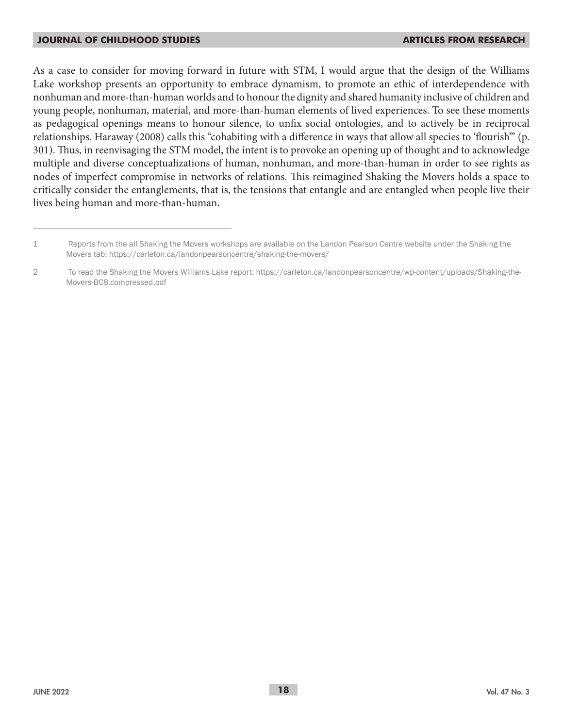As a case to consider for moving forward in future with STM, I would argue that the design of the Williams Lake workshop presents an opportunity to embrace dynamism, to promote an ethic of interdependence with nonhuman and more-than-human worlds and to honour the dignity and shared humanity inclusive of children and young people, nonhuman, material, and more-than-human elements of lived experiences. To see these moments as pedagogical openings means to honour silence, to unfix social ontologies, and to actively be in reciprocal relationships. Haraway (2008) calls this "cohabiting with a difference in ways that allow all species to 'flourish'" (p. 301). Thus, in reenvisaging the STM model, the intent is to provoke an opening up of thought and to acknowledge multiple and diverse conceptualizations of human, nonhuman, and more-than-human in order to see rights as nodes of imperfect compromise in networks of relations. This reimagined Shaking the Movers holds a space to critically consider the entanglements, that is, the tensions that entangle and are entangled when people live their lives being human and more-than-human.

<sup>1</sup> Reports from the all Shaking the Movers workshops are available on the Landon Pearson Centre website under the Shaking the Movers tab: https://carleton.ca/landonpearsoncentre/shaking-the-movers/

<sup>2</sup> To read the Shaking the Movers Williams Lake report: https://carleton.ca/landonpearsoncentre/wp-content/uploads/Shaking-the-Movers-BC8.compressed.pdf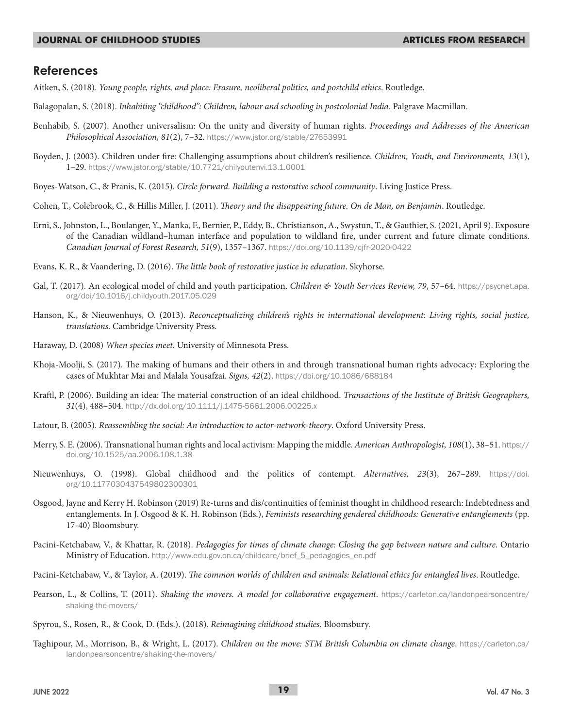### **References**

Aitken, S. (2018). *Young people, rights, and place: Erasure, neoliberal politics, and postchild ethics*. Routledge.

- Balagopalan, S. (2018). *Inhabiting "childhood": Children, labour and schooling in postcolonial India*. Palgrave Macmillan.
- Benhabib, S. (2007). Another universalism: On the unity and diversity of human rights. *Proceedings and Addresses of the American Philosophical Association, 81*(2), 7–32. https://www.jstor.org/stable/27653991
- Boyden, J. (2003). Children under fire: Challenging assumptions about children's resilience. *Children, Youth, and Environments, 13*(1), 1–29. https://www.jstor.org/stable/10.7721/chilyoutenvi.13.1.0001
- Boyes-Watson, C., & Pranis, K. (2015). *Circle forward. Building a restorative school community*. Living Justice Press.
- Cohen, T., Colebrook, C., & Hillis Miller, J. (2011). *Theory and the disappearing future. On de Man, on Benjamin*. Routledge.
- Erni, S., Johnston, L., Boulanger, Y., Manka, F., Bernier, P., Eddy, B., Christianson, A., Swystun, T., & Gauthier, S. (2021, April 9). Exposure of the Canadian wildland–human interface and population to wildland fire, under current and future climate conditions. *Canadian Journal of Forest Research, 51*(9), 1357–1367. https://doi.org/10.1139/cjfr-2020-0422
- Evans, K. R., & Vaandering, D. (2016). *The little book of restorative justice in education*. Skyhorse.
- Gal, T. (2017). An ecological model of child and youth participation. *Children & Youth Services Review, 79,* 57–64. https://psycnet.apa. org/doi/10.1016/j.childyouth.2017.05.029
- Hanson, K., & Nieuwenhuys, O. (2013). *Reconceptualizing children's rights in international development: Living rights, social justice, translations*. Cambridge University Press.
- Haraway, D. (2008) *When species meet.* University of Minnesota Press.
- Khoja-Moolji, S. (2017). The making of humans and their others in and through transnational human rights advocacy: Exploring the cases of Mukhtar Mai and Malala Yousafzai. *Signs, 42*(2). https://doi.org/10.1086/688184
- Kraftl, P. (2006). Building an idea: The material construction of an ideal childhood. *Transactions of the Institute of British Geographers, 31*(4), 488–504. http://dx.doi.org/10.1111/j.1475-5661.2006.00225.x
- Latour, B. (2005). *Reassembling the social: An introduction to actor-network-theory*. Oxford University Press.
- Merry, S. E. (2006). Transnational human rights and local activism: Mapping the middle. *American Anthropologist, 108*(1), 38–51. https:// doi.org/10.1525/aa.2006.108.1.38
- Nieuwenhuys, O. (1998). Global childhood and the politics of contempt. *Alternatives, 23*(3), 267–289. https://doi. org/10.1177030437549802300301
- Osgood, Jayne and Kerry H. Robinson (2019) Re-turns and dis/continuities of feminist thought in childhood research: Indebtedness and entanglements. In J. Osgood & K. H. Robinson (Eds.), *Feminists researching gendered childhoods: Generative entanglements* (pp. 17-40) Bloomsbury.
- Pacini-Ketchabaw, V., & Khattar, R. (2018). *Pedagogies for times of climate change: Closing the gap between nature and culture*. Ontario Ministry of Education. http://www.edu.gov.on.ca/childcare/brief\_5\_pedagogies\_en.pdf
- Pacini-Ketchabaw, V., & Taylor, A. (2019). *The common worlds of children and animals: Relational ethics for entangled lives*. Routledge.
- Pearson, L., & Collins, T. (2011). *Shaking the movers. A model for collaborative engagement*. https://carleton.ca/landonpearsoncentre/ shaking-the-movers/
- Spyrou, S., Rosen, R., & Cook, D. (Eds.). (2018). *Reimagining childhood studies*. Bloomsbury.
- Taghipour, M., Morrison, B., & Wright, L. (2017). *Children on the move: STM British Columbia on climate change*. https://carleton.ca/ landonpearsoncentre/shaking-the-movers/